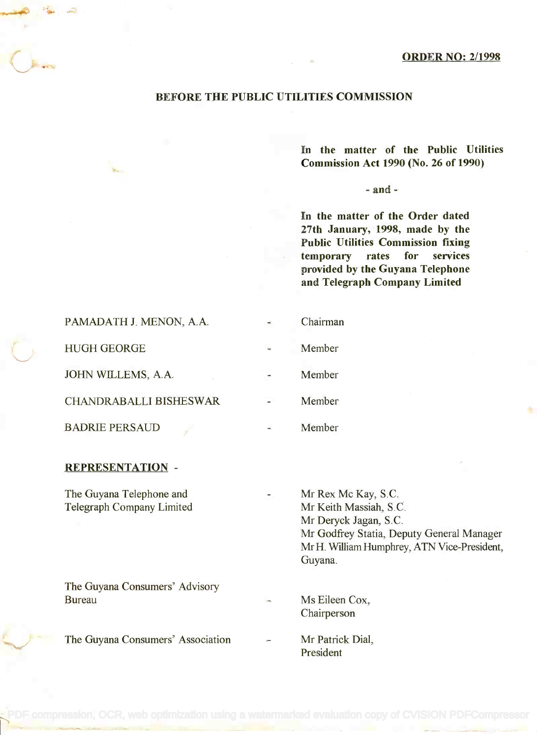#### ORDER NO: 2/1998

### BEFORE THE PUBLIC UTILITIES COMMISSION

In the matter of the Public Utilities **In the matter of the Public Utilities** Commission Act 1990 (No. 26 of 1990) **Commission Act 1990 (No. 26 of 1990)**

#### $-$ and  $-$

In the matter of the Order dated **In the matter of the Order dated** 27th January, 1998, made by the **27th January, 1998, made by the** Public Utilities Commission fixing **Public Utilities Commission fixing** temporary rates for services **temporary rates for services** provided by the Guyana Telephone **provided by the Guyana Telephone** and Telegraph Company Limited **and Telegraph Company Limited**

| PAMADATH J. MENON, A.A.       | Chairman |
|-------------------------------|----------|
| <b>HUGH GEORGE</b>            | Member   |
| JOHN WILLEMS, A.A.            | Member   |
| <b>CHANDRABALLI BISHESWAR</b> | Member   |
| <b>BADRIE PERSAUD</b>         | Member   |

#### REPRESENTATION -

The Guyana Telephone and The Guyana Telephone and Telegraph Company Limited Telegraph Company Limited

The Guyana Consumers' Advisory The Guyana Consumers' Advisory Bureau Bureau Ms Eileen Cox,

The Guyana Consumers' Association

- Mr Rex Mc Kay, S.C. Mr Rex Mc Kay, S.C. Mr Keith Massiah, S.C. Mr Keith Massiah, S.C. Mr Deryck Jagan, S.C. Mr Deryck Jagan, S.C. Mr Godfrey Statia, Deputy General Manager Mr Godfrey Statia, Deputy General Manager Mr H. William Humphrey, ATN Vice-President, Mr H. WilliamHumphrey, ATN Vice-President, Guyana. Guyana.
- Chairperson Chairperson
- Mr Patrick Dial, Mr Patrick Dial, President President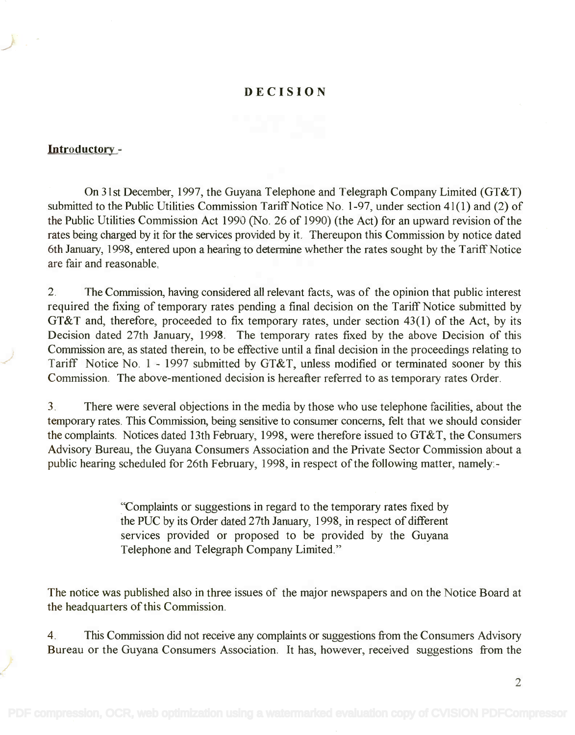## DECISION

## Introductory -

On 31st December, 1997, the Guyana Telephone and Telegraph Company Limited (GT&T) On 31st December, 1997, the Guyana Telephone and Telegraph Company Limited (GT&T) submitted to the Public Utilities Commission Tariff Notice No. 1-97, under section 41(1) and (2) of submitted to the Public Utilities Commission Tariff Notice No. 1-97, under section 41(1) and (2) of the Public Utilities Commission Act 1990 (No. 26 of 1990) (the Act) for an upward revision of the the Public Utilities Commission Act 1990 (No. 26 of 1990) (the Act) for an upward revision of the rates being charged by it for the services provided by it. Thereupon this Commission by notice dated 6th January, 1998, entered upon a hearing to determine whether the rates sought by the Tariff Notice 6th January, 1998, entered upon a hearing to determine whether the rates sought by the Tariff Notice are fair and reasonable. are fair and reasonable.

2. The Commission, having considered all relevant facts, was of the opinion that public interest 2. The Commission, having considered all relevant facts, was of the opinion that public interest required the fixing of temporary rates pending a final decision on the Tariff Notice submitted by required the fixing of temporary rates pending a final decision on the Tariff Notice submitted by GT&T and, therefore, proceeded to fix temporary rates, under section 43(1) of the Act, by its GT&T and, therefore, proceeded to fix temporary rates, under section 43(1) of the Act, by its Decision dated 27th January, 1998. The temporary rates fixed by the above Decision of this Decision dated 27th January, 1998. The temporary rates fixed by the above Decision of this Commission are, as stated therein, to be effective until a final decision in the proceedings relating to Commission are, as stated therein, to be effective until a final decision in the proceedings relating to Tariff Notice No. 1 - 1997 submitted by GT&T, unless modified or terminated sooner by this Tariff Notice NO.1 - 1997 submitted by GT&T, unless modified or terminated sooner by this Commission. The above-mentioned decision is hereafter referred to as temporary rates Order. Commission. The above-mentioned decision is hereafter referred to as temporary rates Order.

3. There were several objections in the media by those who use telephone facilities, about the 3. There were several objections in the media by those who use telephone facilities, about the temporary rates. This Commission, being sensitive to consumer concerns, felt that we should consider temporary rates. This Commission, being sensitive to consumer concerns, felt that we should consider the complaints. Notices dated 13th February, 1998, were therefore issued to GT&T, the Consumers the complaints. Notices dated 13th February, 1998, were therefore issued to GT&T, the Consumers Advisory Bureau, the Guyana Consumers Association and the Private Sector Commission about a Advisory Bureau, the Guyana Consumers Association and the Private Sector Commission about a public hearing scheduled for 26th February, 1998, in respect of the following matter, namely:- public hearing scheduled for 26th February, 1998, in respect of the following matter, namely:-

> "Complaints or suggestions in regard to the temporary rates fixed by "Complaints or suggestions in regard to the temporary rates fixed by the PUC by its Order dated 27th January, 1998, in respect of different the PUC by its Order dated 27th January, 1998, in respect of different services provided or proposed to be provided by the Guyana services provided or proposed to be provided by the Guyana Telephone and Telegraph Company Limited." Telephone and Telegraph Company Limited."

The notice was published also in three issues of the major newspapers and on the Notice Board at The notice was published also in three issues of the major newspapers and on the Notice Board at the headquarters of this Commission. the headquarters of this Commission.

4. This Commission did not receive any complaints or suggestions from the Consumers Advisory 4. This Commission did not receive any complaints or suggestions from the Consumers Advisory Bureau or the Guyana Consumers Association. It has, however, received suggestions from the Bureau or the Guyana Consumers Association. It has, however, received suggestions from the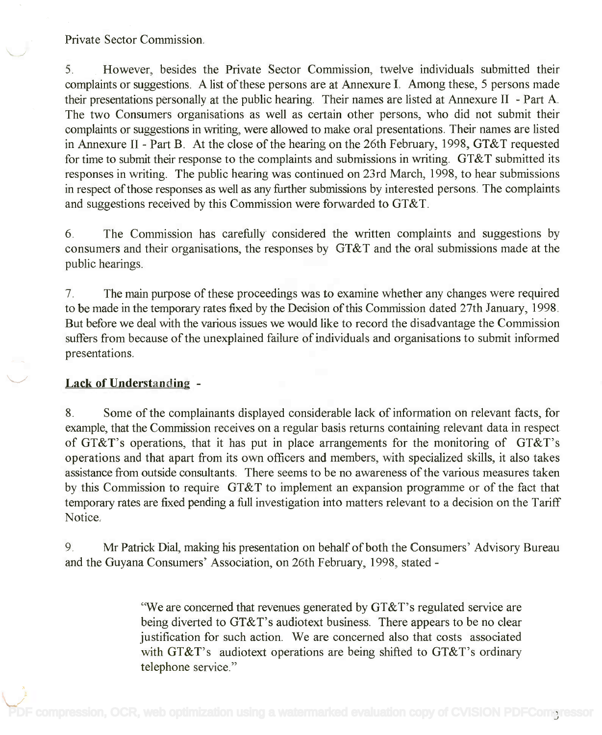## Private Sector Commission.

5. However, besides the Private Sector Commission, twelve individuals submitted their 5. However, besides the Private Sector Commission, twelve individuals submitted their complaints or suggestions. A list of these persons are at Annexure I. Among these, 5 persons made complaints or suggestions. A list of these persons are at Annexure I. Among these, 5 persons made their presentations personally at the public hearing. Their names are listed at Annexure II - Part A. their presentations personally at the public hearing. Their names are listed at Annexure II - Part A. The two Consumers organisations as well as certain other persons, who did not submit their The two Consumers organisations as well as certain other persons, who did not submit their complaints or suggestions in writing, were allowed to make oral presentations. Their names are listed complaints or suggestions in writing, were allowed to make oral presentations. Their names are listed in Annexure II - Part B. At the close of the hearing on the 26th February, 1998, GT&T requested for time to submit their response to the complaints and submissions in writing. GT&T submitted its for time to submit their response to the complaints and submissions in writing. GT&T submitted its responses in writing. The public hearing was continued on 23rd March, 1998, to hear submissions responses in writing. The public hearing was continued on 23rd March, 1998, to hear submissions in respect of those responses as well as any further submissions by interested persons. The complaints in respect of those responses as well as any further submissions by interested persons. The complaints and suggestions received by this Commission were forwarded to GT&T. and suggestions received by this Commission were forwarded to GT&T.

6. The Commission has carefully considered the written complaints and suggestions by 6. The Commission has carefully considered the written complaints and suggestions by consumers and their organisations, the responses by GT&T and the oral submissions made at the consumers and their organisations, the responses by GT&T and the oral submissions made at the public hearings. public hearings.

7. The main purpose of these proceedings was to examine whether any changes were required 7. The main purpose of these proceedings was to examine whether any changes were required to be made in the temporary rates fixed by the Decision of this Commission dated 27th January, 1998. to be made in the temporary rates fixed by the Decision of this Commission dated 27th January, 1998. But before we deal with the various issues we would like to record the disadvantage the Commission But before we deal with the various issues we would like to record the disadvantage the Commission suffers from because of the unexplained failure of individuals and organisations to submit informed suffers from because of the unexplained failure of individuals and organisations to submit informed presentations. presentations.

## Lack of Understanding -

8. Some of the complainants displayed considerable lack of information on relevant facts, for 8. Some of the complainants displayed considerable lack of information on relevant facts, for example, that the Commission receives on a regular basis returns containing relevant data in respect example, that the Commission receives on a regular basis returns containing relevant data in respect of GT&T's operations, that it has put in place arrangements for the monitoring of GT&T's of GT&T's operations, that it has put in place arrangements for the monitoring of GT&T's operations and that apart from its own officers and members, with specialized skills, it also takes operations and that apart from its own officers and members, with specialized skills, it also takes assistance from outside consultants. There seems to be no awareness of the various measures taken assistance from outside consultants. There seems to be no awareness of the various measures taken by this Commission to require GT&T to implement an expansion programme or of the fact that by this Commission to require GT&T to implement an expansion programme or of the fact that temporary rates are fixed pending a full investigation into matters relevant to a decision on the Tariff temporary rates are fixed pending a full investigation into matters relevant to a decision on the Tariff Notice. Notice.

9. Mr Patrick Dial, making his presentation on behalf of both the Consumers' Advisory Bureau 9. Mr Patrick Dial, making his presentation on behalf of both the Consumers' Advisory Bureau and the Guyana Consumers' Association, on 26th February, 1998, stated - and the Guyana Consumers' Association, on 26th February, 1998, stated -

> "We are concerned that revenues generated by GT &T's regulated service are "We are concerned that revenues generated by GT&T's regulated service are being diverted to GT&T's audiotext business. There appears to be no clear being diverted to GT&T's audiotext business. There appears to be no clear justification for such action. We are concerned also that costs associated justification for such action. We are concerned also that costs associated with GT&T's audiotext operations are being shifted to GT&T's ordinary with GT&T's audiotext operations are being shifted to GT&T's ordinary telephone service." telephone service."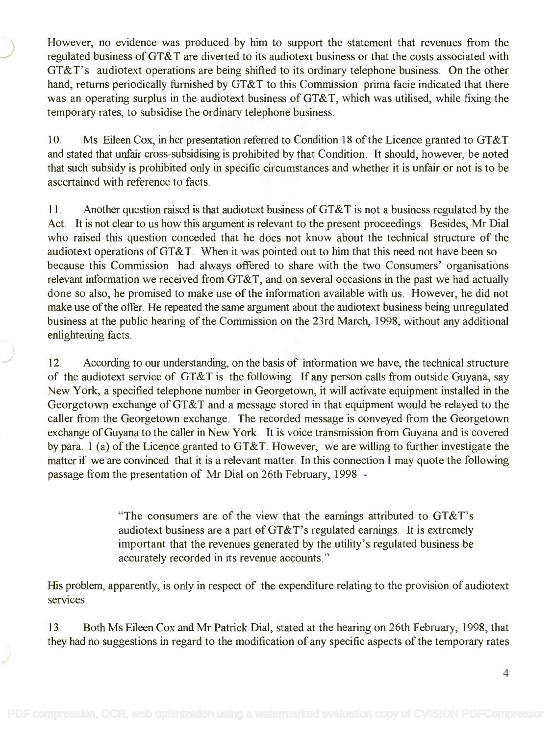However, no evidence was produced by him to support the statement that revenues from the However, no evidence was produced by him to support the statement that revenues from the regulated business of GT&T are diverted to its audiotext business or that the costs associated with regulated business of GT&T are diverted to its audiotext business or that the costs associated with GT&T's audiotext operations are being shifted to its ordinary telephone business. On the other GT&T's audiotext operations are being shifted to its ordinary telephone business. On the other hand, returns periodically furnished by GT&T to this Commission prima facie indicated that there hand, returns periodically furnished by GT&T to this Commission prima facie indicated that there was an operating surplus in the audiotext business of GT&T, which was utilised, while fixing the was an operating surplus in the audiotext business of GT&T, which was utilised, while fixing the temporary rates, to subsidise the ordinary telephone business. temporary rates, to subsidise the ordinary telephone business.

10. Ms Eileen Cox, in her presentation referred to Condition 18 of the Licence granted to GT&T 10. Ms Eileen Cox, in her presentation referred to Condition 18 of the Licence granted to GT&T and stated that unfair cross-subsidising is prohibited by that Condition. It should, however, be noted and stated that unfair cross-subsidising is prohibited by that Condition. It should, however, be noted that such subsidy is prohibited only in specific circumstances and whether it is unfair or not is to be that such subsidy is prohibited only in specific circumstances and whether it is unfair or not is to be ascertained with reference to facts. ascertained with reference to facts.

11. Another question raised is that audiotext business of GT&T is not a business regulated by the 11. Another question raised is that audiotext business of GT&T is not a business regulated by the Act. It is not clear to us how this argument is relevant to the present proceedings. Besides, Mr Dial Act. It is not clear to us how this argument is relevant to the present proceedings. Besides, Mr Dial who raised this question conceded that he does not know about the technical structure of the who raised this question conceded that he does not know about the technical structure of the audiotext operations of GT&T. When it was pointed out to him that this need not have been so audiotext operations of GT&T. When it was pointed out to him that this need not have been so because this Commission had always offered to share with the two Consumers' organisations because this Commission had always offered to share with the two Consumers' organisations relevant information we received from GT&T, and on several occasions in the past we had actually relevant information we received from GT&T, and on several occasions in the past we had actually done so also, he promised to make use of the information available with us. However, he did not done so also, he promised to make use of the information available with us. However, he did not make use of the offer. He repeated the same argument about the audiotext business being unregulated make use of the offer. He repeated the same argument about the audiotext business being unregulated business at the public hearing of the Commission on the 23rd March, 1998, without any additional business at the public hearing of the Commission on the 23rd March, 1998, without any additional enlightening facts. enlightening facts.

12. According to our understanding, on the basis of information we have, the technical structure 12. According to our understanding, on the basis of information we have, the technical structure of the audiotext service of GT&T is the following. If any person calls from outside Guyana, say of the audiotext service of GT&T is the following. If any person calls from outside Guyana, say New York, a specified telephone number in Georgetown, it will activate equipment installed in the New York, a specified telephone number in Georgetown, it will activate equipment installed in the Georgetown exchange of GT&T and a message stored in that equipment would be relayed to the Georgetown exchange of GT&T and a message stored in that equipment would be relayed to the caller from the Georgetown exchange. The recorded message is conveyed from the Georgetown caller from the Georgetown exchange. The recorded message is conveyed from the Georgetown exchange of Guyana to the caller in New York. It is voice transmission from Guyana and is covered exchange of Guyana to the caller in New York. It is voice transmission from Guyana and is covered by para. 1 (a) of the Licence granted to GT&T. However, we are willing to further investigate the by para. 1 (a) of the Licence granted to GT&T. However, we are willing to further investigate the matter if we are convinced that it is a relevant matter. In this connection I may quote the following matter if we are convinced that it is a relevant matter. In this connection I may quote the following passage from the presentation of Mr Dial on 26th February, 1998 - passage from the presentation of Mr Dial on 26th February, 1998 -

> "The consumers are of the view that the earnings attributed to GT&T's "The consumers are of the view that the earnings attributed to GT&T's audiotext business are a part of GT&T's regulated earnings. It is extremely audiotext business are a part ofGT&T's regulated earnings. It is extremely important that the revenues generated by the utility's regulated business be important that the revenues generated by the utility's regulated business be accurately recorded in its revenue accounts." accurately recorded in its revenue accounts."

His problem, apparently, is only in respect of the expenditure relating to the provision of audiotext His problem, apparently, is only in respect of the expenditure relating to the provision of audiotext services.

13. Both Ms Eileen Cox and Mr Patrick Dial, stated at the hearing on 26th February, 1998, that they had no suggestions in regard to the modification of any specific aspects of the temporary rates they had no suggestions in regard to the modification of any specific aspects of the temporary rates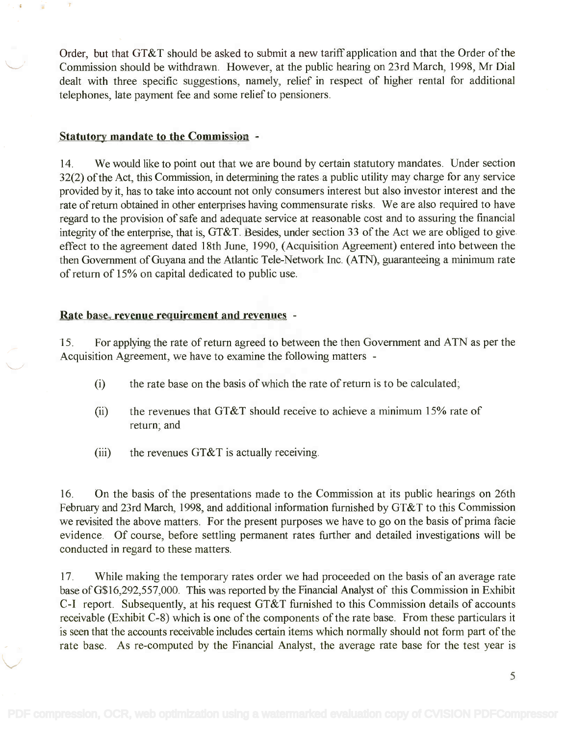Order, but that GT&T should be asked to submit a new tariff application and that the Order of the Order, but that GT&T should be asked to submit a new tariff application and that the Order of the Commission should be withdrawn. However, at the public hearing on 23rd March, 1998, Mr Dial Commission should be withdrawn. However, at the public hearing on 23rd March, 1998, Mr Dial dealt with three specific suggestions, namely, relief in respect of higher rental for additional dealt with three specific suggestions, namely, relief in respect of higher rental for additional telephones, late payment fee and some relief to pensioners. telephones, late payment fee and some relief to pensioners.

### Statutory mandate to the Commission -

14. We would like to point out that we are bound by certain statutory mandates. Under section 14. We would like to point out that we are bound by certain statutory mandates. Under section 32(2) of the Act, this Commission, in determining the rates a public utility may charge for any service 32(2) of the Act, this Commission, in determining the rates a public utility may charge for any service provided by it, has to take into account not only consumers interest but also investor interest and the provided by it, has to take into account not only consumers interest but also investor interest and the rate of return obtained in other enterprises having commensurate risks. We are also required to have regard to the provision of safe and adequate service at reasonable cost and to assuring the financial regard to the provision of safe and adequate service at reasonable cost and to assuring the financial integrity of the enterprise, that is, GT&T. Besides, under section 33 of the Act we are obliged to give effect to the agreement dated 18th June, 1990, (Acquisition Agreement) entered into between the effect to the agreement dated 18th June, 1990, (Acquisition Agreement) entered into between the then Government of Guyana and the Atlantic Tele-Network Inc. (ATN), guaranteeing a minimum rate then Government of Guyana and the Atlantic Te1e-Network Inc. (AIN), guaranteeing a minimum rate of return of 15% on capital dedicated to public use. of return of 15% on capital dedicated to public use.

# Rate base, revenue requirement and revenues -

15. For applying the rate of return agreed to between the then Government and ATN as per the 15. For applying the rate of return agreed to between the then Government and ATN as per the Acquisition Agreement, we have to examine the following matters - Acquisition Agreement, we have to examine the following matters -

- $(i)$ the rate base on the basis of which the rate of return is to be calculated;
- (ii) the revenues that GT&T should receive to achieve a minimum 15% rate of return; and
- (iii) the revenues GT&T is actually receiving.

16. On the basis of the presentations made to the Commission at its public hearings on 26th 16. On the basis of the presentations made to the Commission at its public hearings on 26th February and 23rd March, 1998, and additional information furnished by GT&T to this Commission February and 23rd March, 1998, and additional information furnished by GT&T to this Commission we revisited the above matters. For the present purposes we have to go on the basis of prima facie we revisited the above matters. For the present purposes we have to go on the basis of prima facie evidence. Of course, before settling permanent rates further and detailed investigations will be evidence. Of course, before settling permanent rates further and detailed investigations will be conducted in regard to these matters. conducted in regard to these matters.

17. While making the temporary rates order we had proceeded on the basis of an average rate 17. While making the temporary rates order we had proceeded on the basis of an average rate base of G\$16,292,557,000. This was reported by the Financial Analyst of this Commission in Exhibit base ofG\$16,292,557,000. This was reported by the Financial Analyst of this Commission in Exhibit C-I report. Subsequently, at his request GT&T furnished to this Commission details of accounts C-I report. Subsequently, at his request GT&T furnished to this Commission details of accounts receivable (Exhibit C-8) which is one of the components of the rate base. From these particulars it is seen that the accounts receivable includes certain items which normally should not form part of the is seen that the accounts receivable includes certain items which normally should not form part of the rate base. As re-computed by the Financial Analyst, the average rate base for the test year is rate base. As re-computed by the Financial Analyst, the average rate base for the test year is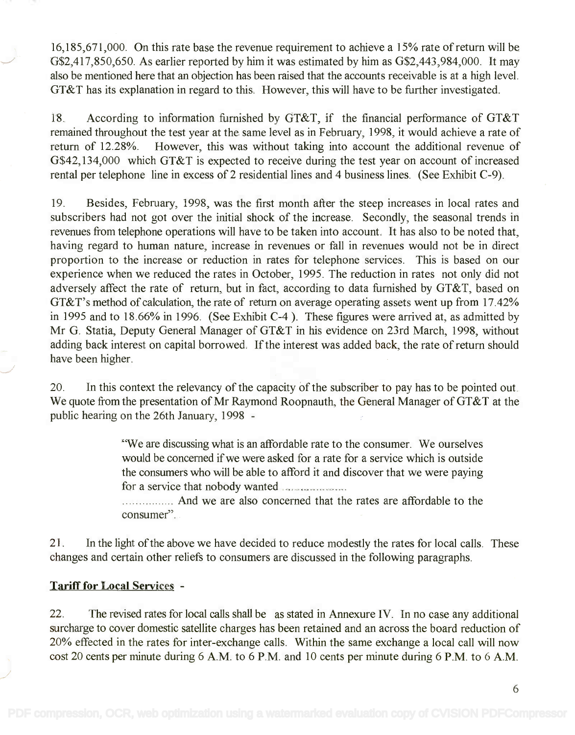16,185,671,000. On this rate base the revenue requirement to achieve a 15% rate of return will be 16,185,671,000. On this rate base the revenue requirement to achieve a 15% rate of return will be G\$2,417,850,650. As earlier reported by him it was estimated by him as G\$2,443,984,000. It may G\$2,417,850,650. As earlier reported by him it was estimated by him as G\$2,443,984,000. It may also be mentioned here that an objection has been raised that the accounts receivable is at a high level. also be mentioned here that an objection has been raised that the accounts receivable is at a high level. GT&T has its explanation in regard to this. However, this will have to be further investigated. GT&T has its explanation in regard to this. However, this will have to be further investigated.

18. According to information furnished by GT&T, if the financial performance of GT&T 18. According to information furnished by GT&T, if the financial performance of GT&T remained throughout the test year at the same level as in February, 1998, it would achieve a rate of remained throughout the test year at the same level as in February, 1998, it would achieve a rate of return of 12.28%. However, this was without taking into account the additional revenue of return of 12.28%. However, this was without taking into account the additional revenue of G\$42,134,000 which GT&T is expected to receive during the test year on account of increased G\$42,134,000 which GT&T is expected to receive during the test year on account of increased rental per telephone line in excess of 2 residential lines and 4 business lines. (See Exhibit C-9). rental per telephone line in excess of 2 residential lines and 4 business lines. (See Exhibit C-9).

19. Besides, February, 1998, was the first month after the steep increases in local rates and 19. Besides, February, 1998, was the first month after the steep increases in local rates and subscribers had not got over the initial shock of the increase. Secondly, the seasonal trends in subscribers had not got over the initial shock of the increase. Secondly, the seasonal trends in revenues from telephone operations will have to be taken into account. It has also to be noted that, revenues from telephone operations will have to be taken into account. It has also to be noted that, having regard to human nature, increase in revenues or fall in revenues would not be in direct having regard to human nature, increase in revenues or fall in revenues would not be in direct proportion to the increase or reduction in rates for telephone services. This is based on our proportion to the increase or reduction in rates for telephone services. This is based on our experience when we reduced the rates in October, 1995. The reduction in rates not only did not experience when we reduced the rates in October, 1995. The reduction in rates not only did not adversely affect the rate of return, but in fact, according to data furnished by GT&T, based on adversely affect the rate of return, but in fact, according to data furnished by GT&T, based on GT&T's method of calculation, the rate of return on average operating assets went up from 17.42% GT&T's method of calculation, the rate of return on average operating assets went up from 17.42% in 1995 and to 18.66% in 1996. (See Exhibit C-4 ). These figures were arrived at, as admitted by in 1995 and to 18.66% in 1996. (See Exhibit C-4). These figures were arrived at, as admitted by Mr G. Statia, Deputy General Manager of GT&T in his evidence on 23rd March, 1998, without Mr G. Statia, Deputy General Manager of GT&T in his evidence on 23rd March, 1998, without adding back interest on capital borrowed. If the interest was added back, the rate of return should adding back interest on capital borrowed. If the interest was added back, the rate of return should have been higher. have been higher.

20. In this context the relevancy of the capacity of the subscriber to pay has to be pointed out. 20. In this context the relevancy of the capacity of the subscriber to pay has to be pointed out. We quote from the presentation of Mr Raymond Roopnauth, the General Manager of GT&T at the public hearing on the 26th January, 1998 public hearing on the 26th January, 1998 -

> "We are discussing what is an affordable rate to the consumer. We ourselves 'We are discussing what is an affordable rate to the consumer. We ourselves would be concerned if we were asked for a rate for a service which is outside would be concerned if we were asked for a rate for a service which is outside the consumers who will be able to afford it and discover that we were paying the consumers who will be able to afford it and discover that we were paying for a service that nobody wanted for a service that nobody wanted .

> And we are also concerned that the rates are affordable to the .... ... And we are also concerned that the rates are affordable to the consumer". consumer".

21. In the light of the above we have decided to reduce modestly the rates for local calls. These 21. In the light of the above we have decided to reduce modestly the rates for local calls. These changes and certain other reliefs to consumers are discussed in the following paragraphs. changes and certain other reliefs to consumers are discussed in the following paragraphs.

## Tariff for Local Services -

22. The revised rates for local calls shall be as stated in Annexure IV. In no case any additional 22. The revised rates for local calls shall be as stated in Annexure IV. In no case any additional surcharge to cover domestic satellite charges has been retained and an across the board reduction of surcharge to cover domestic satellite charges has been retained and an across the board reduction of 20% effected in the rates for inter-exchange calls. Within the same exchange a local call will now 20% effected in the rates for inter-exchange calls. Within the same exchange a local call will now cost 20 cents per minute during 6 A.M. to 6 P.M. and 10 cents per minute during 6 P.M. to 6 A.M.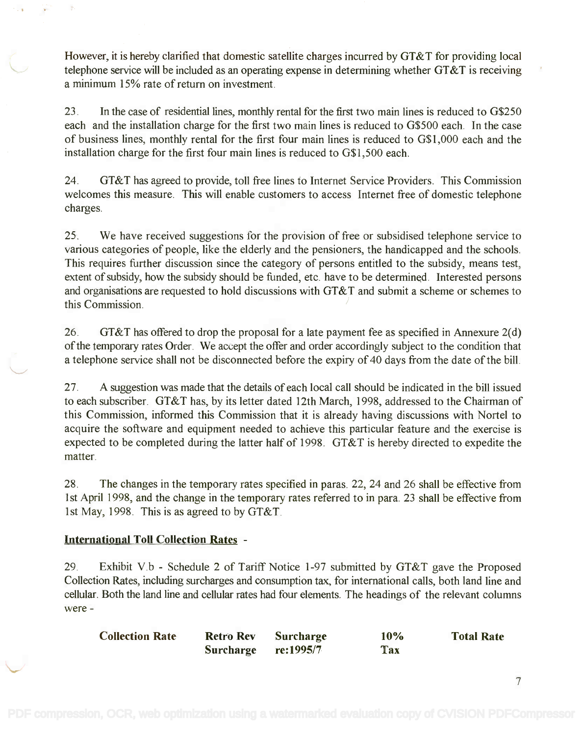However, it is hereby clarified that domestic satellite charges incurred by GT&T for providing local However, it is hereby clarified that domestic satellite charges incurred by GT&T for providing local telephone service will be included as an operating expense in determining whether GT&T is receiving telephone service will be included as an operating expense in determining whether GT&T is receiving a minimum 15% rate of return on investment. a minimum 15% rate of return on investment.

23. In the case of residential lines, monthly rental for the first two main lines is reduced to G\$250 23. In the case of residential lines, monthly rental for the first two main lines is reduced to G\$250 each and the installation charge for the first two main lines is reduced to G\$500 each. In the case each and the installation charge for the first two main lines is reduced to G\$500 each. In the case of business lines, monthly rental for the first four main lines is reduced to G\$1,000 each and the of business lines, monthly rental for the first four main lines is reduced to G\$I,OOO each and the installation charge for the first four main lines is reduced to G\$1,500 each. installation charge for the first four main lines is reduced to G\$I,500 each.

24. GT&T has agreed to provide, toll free lines to Internet Service Providers. This Commission 24. GT&T has agreed to provide, toll free lines to Internet Service Providers. This Commission welcomes this measure. This will enable customers to access Internet free of domestic telephone welcomes this measure. This will enable customers to access Internet free of domestic telephone charges. charges.

25. We have received suggestions for the provision of free or subsidised telephone service to 25. We have received suggestions for the provision of free or subsidised telephone service to various categories of people, like the elderly and the pensioners, the handicapped and the schools. various categories of people, like the elderly and the pensioners, the handicapped and the schools. This requires further discussion since the category of persons entitled to the subsidy, means test, This requires further discussion since the category of persons entitled to the subsidy, means test, extent of subsidy, how the subsidy should be funded, etc. have to be determined. Interested persons extent of subsidy, how the subsidy should be funded, etc. have to be determined. Interested persons and organisations are requested to hold discussions with GT&T and submit a scheme or schemes to and organisations are requested to hold discussions with GT&T and submit a scheme or schemes to this Commission. this Commission. )

26. GT&T has offered to drop the proposal for a late payment fee as specified in Annexure 2(d) 26. GT&T has offered to drop the proposal for a late payment fee as specified in Annexure 2(d) of the temporary rates Order. We accept the offer and order accordingly subject to the condition that a telephone service shall not be disconnected before the expiry of 40 days from the date of the bill. a telephone service shall not be disconnected before the expiry of 40 days from the date of the bill.

27. A suggestion was made that the details of each local call should be indicated in the bill issued 27. A suggestion was made that the details of each local call should be indicated in the bill issued to each subscriber. GT&T has, by its letter dated 12th March, 1998, addressed to the Chairman of to each subscriber. GT&T has, by its letter dated 12th March, 1998, addressed to the Chairman of this Commission, informed this Commission that it is already having discussions with Nortel to this Commission, informed this Commission that it is already having discussions with Nortel to acquire the software and equipment needed to achieve this particular feature and the exercise is acquire the software and equipment needed to achieve this particular feature and the exercise is expected to be completed during the latter half of 1998. GT&T is hereby directed to expedite the expected to be completed during the latter half of 1998. GT&T is hereby directed to expedite the matter. matter.

28. The changes in the temporary rates specified in paras. 22, 24 and 26 shall be effective from 28. The changes in the temporary rates specified in paras. 22,24 and 26 shall be effective from 1st April 1998, and the change in the temporary rates referred to in para. 23 shall be effective from 1st April 1998, and the change in the temporary rates referred to in para. 23 shall be effective from 1st May, 1998. This is as agreed to by GT&T. 1st May, 1998. This is as agreed to by GT&T.

# International Toll Collection Rates -

29. Exhibit V.b - Schedule 2 of Tariff Notice 1-97 submitted by GT&T gave the Proposed Collection Rates, including surcharges and consumption tax, for international calls, both land line and Collection Rates, including surcharges and consumption tax, for international calls, both land line and cellular. Both the land line and cellular rates had four elements. The headings of the relevant columns cellular. Both the land line and cellular rates had four elements. The headings of the relevant columns were were -

| <b>Collection Rate</b> | <b>Retro Rev</b>    | <b>Surcharge</b> | 10%        | <b>Total Rate</b> |
|------------------------|---------------------|------------------|------------|-------------------|
|                        | Surcharge re:1995/7 |                  | <b>Tax</b> |                   |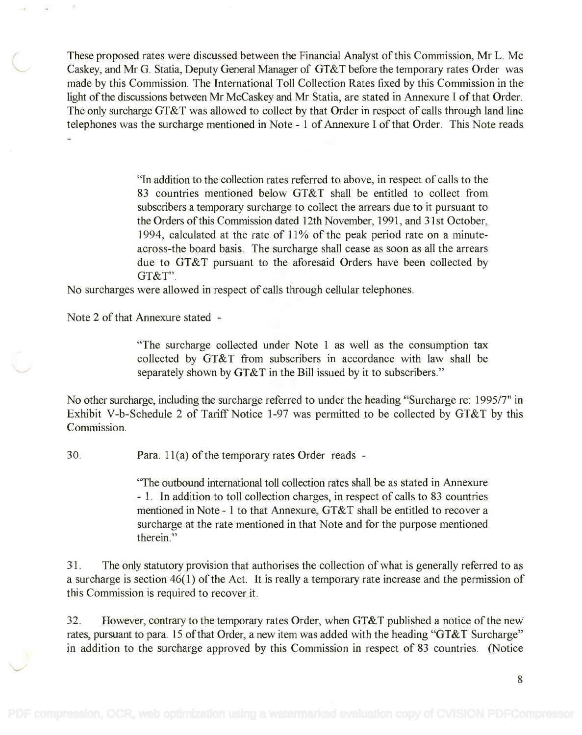These proposed rates were discussed between the Financial Analyst of this Commission, Mr L. Mc These proposed rates were discussed between the Financial Analyst of this Commission, Mr L. Mc Caskey, and Mr G. Statia, Deputy General Manager of GT&T before the temporary rates Order was Caskey, and Mr G. Statia, Deputy General Manager of GT&T before the temporary rates Order was made by this Commission. The International Toll Collection Rates fixed by this Commission in the made by this Commission. The International Toll Collection Rates fixed by this Commission in the light of the discussions between Mr McCaskey and Mr Statia, are stated in Annexure I of that Order. light of the discussions between Mr McCaskey and Mr Statia, are stated in Annexure I of that Order. The only surcharge GT&T was allowed to collect by that Order in respect of calls through land line The only surcharge GT&T was allowed to collect by that Order in respect of calls through land line telephones was the surcharge mentioned in Note - 1 of Annexure I of that Order. This Note reads

> "In addition to the collection rates referred to above, in respect of calls to the "In addition to the collection rates referred to above, in respect of calls to the 83 countries mentioned below GT&T shall be entitled to collect from 83 countries mentioned below GT&T shall be entitled to collect from subscribers a temporary surcharge to collect the arrears due to it pursuant to subscribers a temporary surcharge to collect the arrears due to it pursuant to the Orders of this Commission dated 12th November, 1991, and 31st October, the Orders of this Commission dated 12th November, 1991, and 31st October, 1994, calculated at the fate of 11% of the peak period rate on a minute-1994, calculated at the rate of 11% of the peak period rate on a minuteacross-the board basis. The surcharge shall cease as soon as all the arrears across-the board basis. The surcharge shall cease as soon as all the arrears due to GT&T pursuant to the aforesaid Orders have been collected by due to GT&T pursuant to the aforesaid Orders have been collected by GT&T". GT&T".

No surcharges were allowed in respect of calls through cellular telephones. No surcharges were allowed in respect of calls through cellular telephones.

Note 2 of that Annexure stated

"The surcharge collected under Note 1 as well as the consumption tax "The surcharge collected under Note 1 as well as the consumption tax collected by GT&T from subscribers in accordance with law shall be collected by GT&T from subscribers in accordance with law shall be separately shown by GT&T in the Bill issued by it to subscribers." separately shown by GT&T in the Bill issued by it to subscribers."

No other surcharge, including the surcharge referred to under the heading "Surcharge re: 1995/7" in No other surcharge, including the surcharge referred to under the heading "Surcharge re: 1995/7" in Exhibit V-b-Schedule 2 of Tariff Notice 1-97 was permitted to be collected by GT&T by this Exhibit V-b-Schedule 2 of Tariff Notice 1-97 was permitted to be collected by GT&T by this Commission. Commission.

30. Para. 11(a) of the temporary rates Order reads -

"The outbound international toll collection rates shall be as stated in Annexure ''The outbound international toll collection rates shall be as stated in Annexure 1. In addition to toll collection charges, in respect of calls to 83 countries - 1. In addition to toll collection charges, in respect of calls to 83 countries mentioned in Note 1 to that Annexure, GT&T shall be entitled to recover a mentioned in Note - 1 to that Annexure, GT&T shall be entitled to recover a surcharge at the rate mentioned in that Note and for the purpose mentioned surcharge at the rate mentioned in that Note and for the purpose mentioned therein." therein."

31. The only statutory provision that authorises the collection of what is generally referred to as 31. The only statutory provision that authorises the collection of what is generally referred to as a surcharge is section 46(1) of the Act. It is really a temporary rate increase and the permission of a surcharge is section 46(1) of the Act. It is really a temporary rate increase and the permission of this Commission is required to recover it. this Commission is required to recover it.

32. However, contrary to the temporary rates Order, when GT&T published a notice of the new 32. However, contrary to the temporary rates Order, when GT&T published a notice of the new rates, pursuant to para. 15 of that Order, a new item was added with the heading "GT&T Surcharge" in addition to the surcharge approved by this Commission in respect of 83 countries. (Notice in addition to the surcharge approved by this Commission in respect of 83 countries. (Notice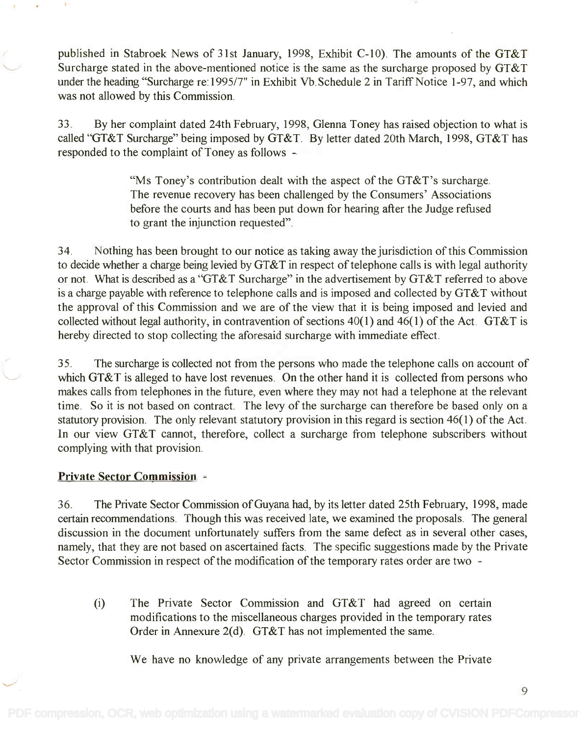published in Stabroek News of 31st January, 1998, Exhibit C-10). The amounts of the GT&T published in Stabroek News of 31st January, 1998, Exhibit C-lO). The amounts of the GT&T Surcharge stated in the above-mentioned notice is the same as the surcharge proposed by GT&T Surcharge stated in the above-mentioned notice is the same as the surcharge proposed by GT&T under the heading "Surcharge re:1995/7" in Exhibit Vb.Schedule 2 in Tariff Notice 1-97, and which under the heading "Surcharge re: 1995/7" in Exhibit Vb. Schedule 2 in Tariff Notice 1-97, and which was not allowed by this Commission. was not allowed by this Commission.

33. By her complaint dated 24th February, 1998, Glenna Toney has raised objection to what is 33. By her complaint dated 24th February, 1998, Glenna Toney has raised objection to what is called "GT&T Surcharge" being imposed by GT&T. By letter dated 20th March, 1998, GT&T has called "GT&T Surcharge" being imposed by GT&T. By letter dated 20th March, 1998, GT&T has responded to the complaint of Toney as follows - responded to the complaint of Toney as follows -

> "Ms Toney's contribution dealt with the aspect of the GT&T's surcharge. "Ms Toney's contribution dealt with the aspect of the GT&T's surcharge. The revenue recovery has been challenged by the Consumers' Associations The revenue recovery has been challenged by the Consumers' Associations before the courts and has been put down for hearing after the Judge refused before the courts and has been put down for hearing after the Judge refused to grant the injunction requested". to grant the injunction requested".

34. Nothing has been brought to our notice as taking away the jurisdiction of this Commission 34. Nothing has been brought to our notice as taking away the jurisdiction of this Commission to decide whether a charge being levied by GT&T in respect of telephone calls is with legal authority to decide whether a charge being levied by GT&T in respect of telephone calls is with legal authority or not. What is described as a "GT&T Surcharge" in the advertisement by GT&T referred to above or not. What is described as a "GT&T Surcharge" in the advertisement by GT&T referred to above is a charge payable with reference to telephone calls and is imposed and collected by GT&T without is a charge payable with reference to telephone calls and is imposed and collected by GT&T without the approval of this Commission and we are of the view that it is being imposed and levied and collected without legal authority, in contravention of sections 40(1) and 46(1) of the Act. GT&T is collected without legal authority, in contravention of sections 40(1) and 46(1) of the Act. GT&T is hereby directed to stop collecting the aforesaid surcharge with immediate effect. hereby directed to stop collecting the aforesaid surcharge with immediate effect.

35. The surcharge is collected not from the persons who made the telephone calls on account of 35. The surcharge is collected not from the persons who made the telephone calls on account of which GT&T is alleged to have lost revenues. On the other hand it is collected from persons who makes calls from telephones in the future, even where they may not had a telephone at the relevant makes calls from telephones in the future, even where they may not had a telephone at the relevant time. So it is not based on contract. The levy of the surcharge can therefore be based only on a time. So it is not based on contract. The levy of the surcharge can therefore be based only on a statutory provision. The only relevant statutory provision in this regard is section 46(1) of the Act. In our view GT&T cannot, therefore, collect a surcharge from telephone subscribers without In our view GT&T cannot, therefore, collect a surcharge from telephone subscribers without complying with that provision. complying with that provision.

## Private Sector Commission -

36. The Private Sector Commission of Guyana had, by its letter dated 25th February, 1998, made 36. The Private Sector Commission of Guyana had, by its letter dated 25th February, 1998, made certain recommendations. Though this was received late, we examined the proposals. The general certain recommendations. Though this was received late, we examined the proposals. The general discussion in the document unfortunately suffers from the same defect as in several other cases, discussion in the document unfortunately suffers from the same defect as in several other cases, namely, that they are not based on ascertained facts. The specific suggestions made by the Private namely, that they are not based on ascertained facts. The specific suggestions made by the Private Sector Commission in respect of the modification of the temporary rates order are two - Sector Commission in respect of the modification of the temporary rates order are two -

(i) The Private Sector Commission and GT&T had agreed on certain (i) The Private Sector Commission and GT&T had agreed on certain modifications to the miscellaneous charges provided in the temporary rates modifications to the miscellaneous charges provided in the temporary rates Order in Annexure 2(d). GT&T has not implemented the same. Order in Annexure 2(d). GT&T has not implemented the same.

We have no knowledge of any private arrangements between the Private

9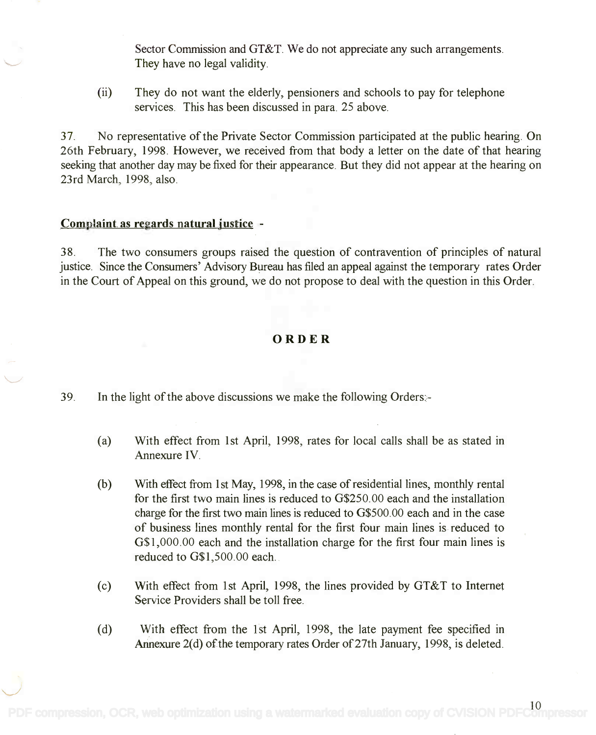Sector Commission and GT&T. We do not appreciate any such arrangements. Sector Commission and GT&T. We do not appreciate any such arrangements. They have no legal validity. They have no legal validity.

(ii) They do not want the elderly, pensioners and schools to pay for telephone (ii) They do not want the elderly, pensioners and schools to pay for telephone services. This has been discussed in para. 25 above. services. This has been discussed in para. 25 above.

37. No representative of the Private Sector Commission participated at the public hearing. On 37. No representative of the Private Sector Commission participated at the public hearing. On 26th February, 1998. However, we received from that body a letter on the date of that hearing 26th February, 1998 . However, we received from that body a letter on the date of that hearing seeking that another day may be fixed for their appearance. But they did not appear at the hearing on seeking that another day may be fixed for their appearance. But they did not appear at the hearing on 23rd March, 1998, also. 23rd March, 1998, also.

## Complaint as regards natural justice -

38. The two consumers groups raised the question of contravention of principles of natural 38. The two consumers groups raised the question of contravention of principles of natural justice. Since the Consumers' Advisory Bureau has filed an appeal against the temporary rates Order in the Court of Appeal on this ground, we do not propose to deal with the question in this Order. in the Court of Appeal on this ground, we do not propose to deal with the question in this Order.

## ORDER

39. In the light of the above discussions we make the following Orders:-

- (a) With effect from 1st April, 1998, rates for local calls shall be as stated in (a) With effect from 1st April, 1998, rates for local calls shall be as stated in Annexure IV. Annexure IV.
- (b) With effect from 1st May, 1998, in the case of residential lines, monthly rental (b) With effect from 1st May, 1998, in the case of residential lines, monthly rental for the first two main lines is reduced to G\$250.00 each and the installation for the first two main lines is reduced to G\$250.00 each and the installation charge for the first two main lines is reduced to G\$500.00 each and in the case charge for the first two main lines is reduced to G\$500.00 each and in the case of business lines monthly rental for the first four main lines is reduced to of business lines monthly rental for the first four main lines is reduced to G\$1,000.00 each and the installation charge for the first four main lines is G\$I, 000.00 each and the installation charge for the first four main lines is reduced to G\$1,500.00 each. reduced to G\$I,500.00 each.
- (c) With effect from 1st April, 1998, the lines provided by GT&T to Internet (c) With effect from 1st April, 1998, the lines provided by GT&T to Internet Service Providers shall be toll free. Service Providers shall be toll free.
- (d) With effect from the 1st April, 1998, the late payment fee specified in (d) With effect from the 1st April, 1998, the late payment fee specified in Annexure 2(d) of the temporary rates Order of 27th January, 1998, is deleted. Annexure 2(d) of the temporary rates Order of 27th January, 1998, is deleted.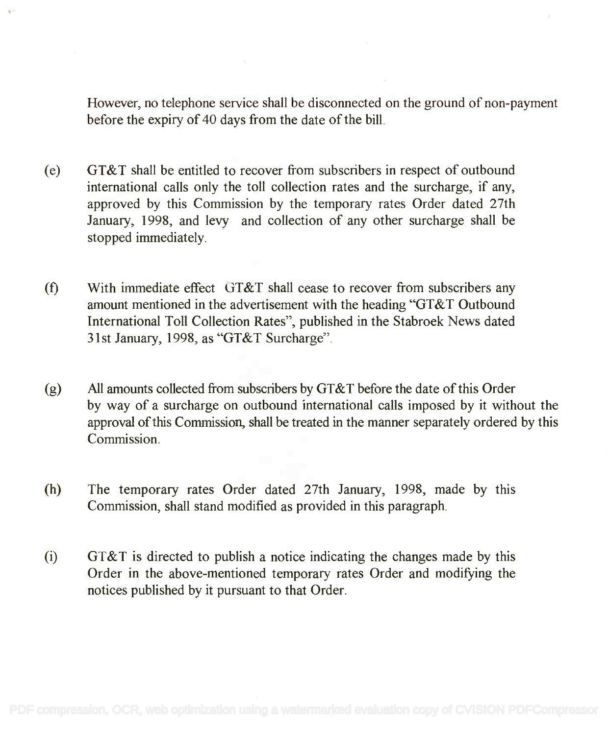However, no telephone service shall be disconnected on the ground of non-payment However, no telephone service shall be disconnected on the ground of non-payment before the expiry of 40 days from the date of the bill. before the expiry of 40 days from the date of the bill.

- (e) GT&T shall be entitled to recover from subscribers in respect of outbound (e) GT&T shall be entitled to recover from subscribers in respect of outbound international calls only the toll collection rates and the surcharge, if any, international calls only the toll collection rates and the surcharge, if any, approved by this Commission by the temporary rates Order dated 27th approved by this Commission by the temporary rates Order dated 27th January, 1998, and levy and collection of any other surcharge shall be January, 1998, and levy and collection of any other surcharge shall be stopped immediately. stopped immediately.
- (0 With immediate effect GT&T shall cease to recover from subscribers any (f) With immediate effect GT&T shall cease to recover from subscribers any amount mentioned in the advertisement with the heading "GT&T Outbound amount mentioned in the advertisement with the heading "GT&T Outbound International Toll Collection Rates", published in the Stabroek News dated International Toll Collection Rates", published in the Stabroek News dated 31st January, 1998, as "GT&T Surcharge". 31st January, 1998, as "GT&T Surcharge".
- (g) All amounts collected from subscribers by GT&T before the date of this Order (g) All amounts collected from subscribers by GT&T before the date of this Order by way of a surcharge on outbound international calls imposed by it without the by way of a surcharge on outbound international calls imposed by it without the approval of this Commission, shall be treated in the manner separately ordered by this approval of this Commission, shall be treated in the manner separately ordered by this Commission. Commission.
- (h) The temporary rates Order dated 27th January, 1998, made by this (h) The temporary rates Order dated 27th January, 1998, made by this Commission, shall stand modified as provided in this paragraph. Commission, shall stand modified as provided in this paragraph.
- $(i)$  GT&T is directed to publish a notice indicating the changes made by this Order in the above-mentioned temporary rates Order and modifying the notices published by it pursuant to that Order. notices published by it pursuant to that Order.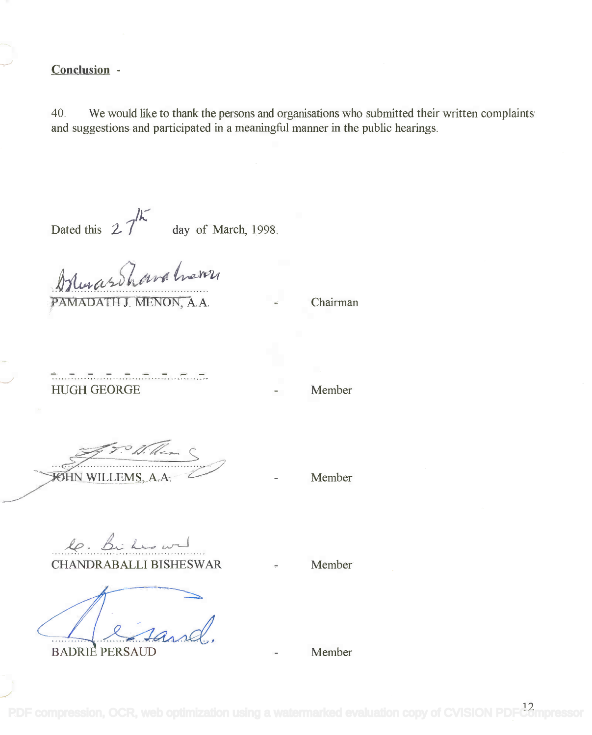# Conclusion -

40. We would like to thank the persons and organisations who submitted their written complaints 40. We would like to thank the persons and organisations who submitted their written complaints and suggestions and participated in a meaningful manner in the public hearings. and suggestions and participated in a meaningful manner in the public hearings.

Dated this  $27^{16}$ 

Dated this  $2/$  day of March, 1998.

 $M_{\text{max}}$ PAMADATH J. MENON, A.A.  $\qquad \qquad -$  Chairman *.~!J.W:'!'. .*

HUGH GEORGE

Member

Withem WILLEMS, A.A. Member

le. Bi has wel CHANDRABALLI BISHESWAR

.............. ~

BADRIE PERSAUD TERMINE AU PERSAUD

Member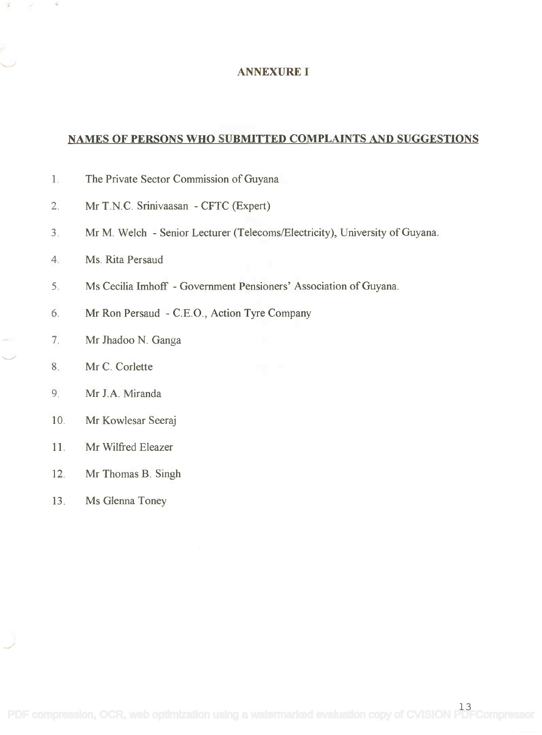#### ANNEXURE I

# NAMES OF PERSONS WHO SUBMITTED COMPLAINTS AND SUGGESTIONS

- 1. The Private Sector Commission of Guyana 1. The Private Sector Commission of Guyana
- 2. Mr T.N.C. Srinivaasan CFTC (Expert) 2. Mr T.N.C. Srinivaasan CFTC (Expert)
- 3. Mr M. Welch Senior Lecturer (Telecoms/Electricity), University of Guyana.
- 4. Ms. Rita Persaud 4. Ms. Rita Persaud
- 5. Ms Cecilia Imhoff Government Pensioners' Association of Guyana.
- 6. Mr Ron Persaud C.E.O., Action Tyre Company
- Mr Jhadoo N. Ganga 7. Mr Thadoo N. Ganga
- Mr C. Corlette 8. Mr C. Corlette
- Mr J.A. Miranda 9. Mr J.A Miranda
- 10. Mr Kowlesar Seeraj 10. Mr Kowlesar Seeraj
- 11. Mr Wilfred Eleazer 11. Mr Wilfred Eleazer
- 12. Mr Thomas B. Singh 12. Mr Thomas B. Singh
- 13. Ms Glenna Toney 13. Ms Glenna Toney